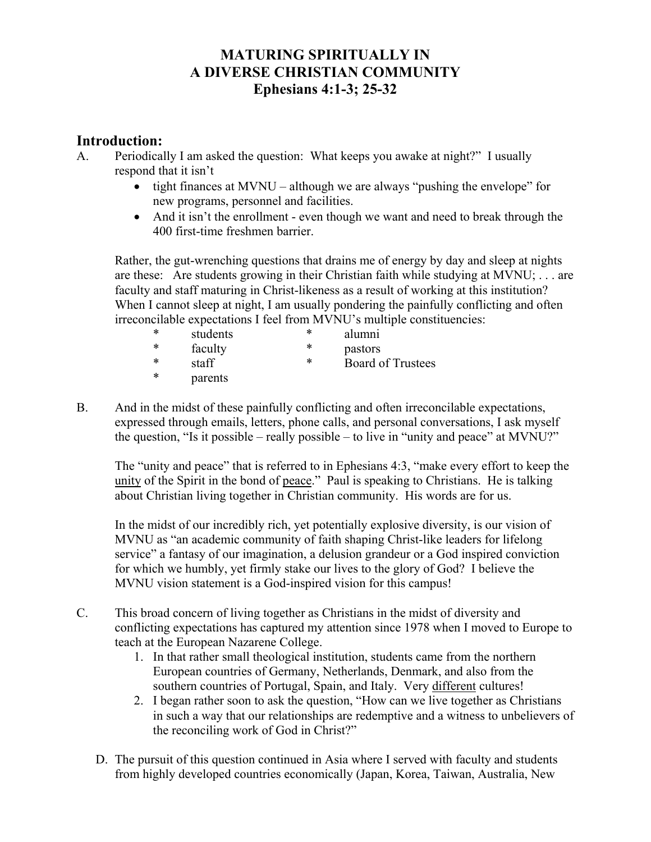## **MATURING SPIRITUALLY IN A DIVERSE CHRISTIAN COMMUNITY Ephesians 4:1-3; 25-32**

## **Introduction:**

- A. Periodically I am asked the question: What keeps you awake at night?" I usually respond that it isn't
	- tight finances at MVNU although we are always "pushing the envelope" for new programs, personnel and facilities.
	- And it isn't the enrollment even though we want and need to break through the 400 first-time freshmen barrier.

Rather, the gut-wrenching questions that drains me of energy by day and sleep at nights are these: Are students growing in their Christian faith while studying at MVNU; . . . are faculty and staff maturing in Christ-likeness as a result of working at this institution? When I cannot sleep at night, I am usually pondering the painfully conflicting and often irreconcilable expectations I feel from MVNU's multiple constituencies:

| ∗ | students | ∗ | alumni                   |
|---|----------|---|--------------------------|
| ∗ | faculty  | ∗ | pastors                  |
| ∗ | staff    | * | <b>Board of Trustees</b> |

- \* parents
- B. And in the midst of these painfully conflicting and often irreconcilable expectations, expressed through emails, letters, phone calls, and personal conversations, I ask myself the question, "Is it possible – really possible – to live in "unity and peace" at MVNU?"

The "unity and peace" that is referred to in Ephesians 4:3, "make every effort to keep the unity of the Spirit in the bond of peace." Paul is speaking to Christians. He is talking about Christian living together in Christian community. His words are for us.

In the midst of our incredibly rich, yet potentially explosive diversity, is our vision of MVNU as "an academic community of faith shaping Christ-like leaders for lifelong service" a fantasy of our imagination, a delusion grandeur or a God inspired conviction for which we humbly, yet firmly stake our lives to the glory of God? I believe the MVNU vision statement is a God-inspired vision for this campus!

- C. This broad concern of living together as Christians in the midst of diversity and conflicting expectations has captured my attention since 1978 when I moved to Europe to teach at the European Nazarene College.
	- 1. In that rather small theological institution, students came from the northern European countries of Germany, Netherlands, Denmark, and also from the southern countries of Portugal, Spain, and Italy. Very different cultures!
	- 2. I began rather soon to ask the question, "How can we live together as Christians in such a way that our relationships are redemptive and a witness to unbelievers of the reconciling work of God in Christ?"
	- D. The pursuit of this question continued in Asia where I served with faculty and students from highly developed countries economically (Japan, Korea, Taiwan, Australia, New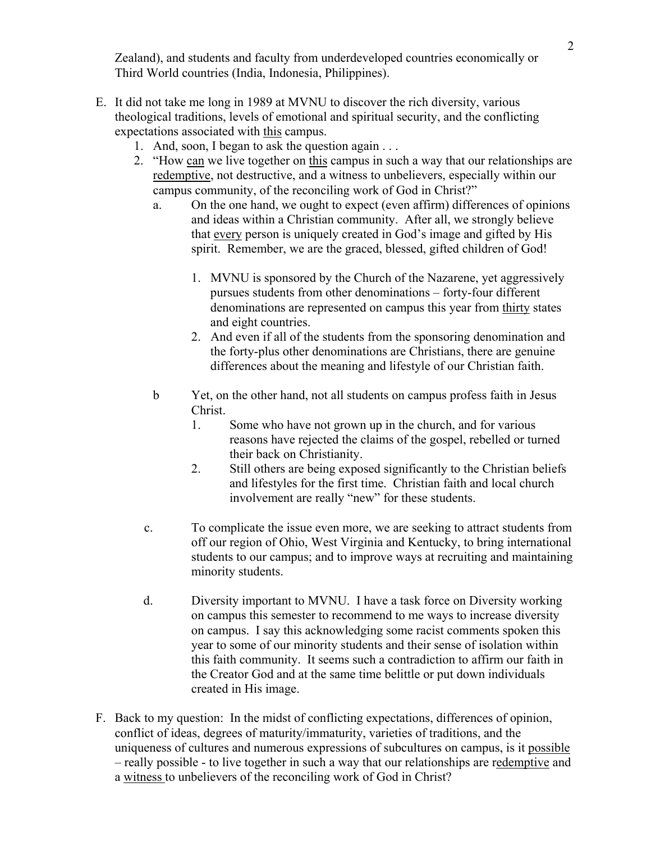2 Zealand), and students and faculty from underdeveloped countries economically or Third World countries (India, Indonesia, Philippines).

- E. It did not take me long in 1989 at MVNU to discover the rich diversity, various theological traditions, levels of emotional and spiritual security, and the conflicting expectations associated with this campus.
	- 1. And, soon, I began to ask the question again . . .
	- 2. "How can we live together on this campus in such a way that our relationships are redemptive, not destructive, and a witness to unbelievers, especially within our campus community, of the reconciling work of God in Christ?"
		- a. On the one hand, we ought to expect (even affirm) differences of opinions and ideas within a Christian community. After all, we strongly believe that every person is uniquely created in God's image and gifted by His spirit. Remember, we are the graced, blessed, gifted children of God!
			- 1. MVNU is sponsored by the Church of the Nazarene, yet aggressively pursues students from other denominations – forty-four different denominations are represented on campus this year from thirty states and eight countries.
			- 2. And even if all of the students from the sponsoring denomination and the forty-plus other denominations are Christians, there are genuine differences about the meaning and lifestyle of our Christian faith.
		- b Yet, on the other hand, not all students on campus profess faith in Jesus Christ.
			- 1. Some who have not grown up in the church, and for various reasons have rejected the claims of the gospel, rebelled or turned their back on Christianity.
			- 2. Still others are being exposed significantly to the Christian beliefs and lifestyles for the first time. Christian faith and local church involvement are really "new" for these students.
		- c. To complicate the issue even more, we are seeking to attract students from off our region of Ohio, West Virginia and Kentucky, to bring international students to our campus; and to improve ways at recruiting and maintaining minority students.
		- d. Diversity important to MVNU. I have a task force on Diversity working on campus this semester to recommend to me ways to increase diversity on campus. I say this acknowledging some racist comments spoken this year to some of our minority students and their sense of isolation within this faith community. It seems such a contradiction to affirm our faith in the Creator God and at the same time belittle or put down individuals created in His image.
- F. Back to my question: In the midst of conflicting expectations, differences of opinion, conflict of ideas, degrees of maturity/immaturity, varieties of traditions, and the uniqueness of cultures and numerous expressions of subcultures on campus, is it possible – really possible - to live together in such a way that our relationships are redemptive and a witness to unbelievers of the reconciling work of God in Christ?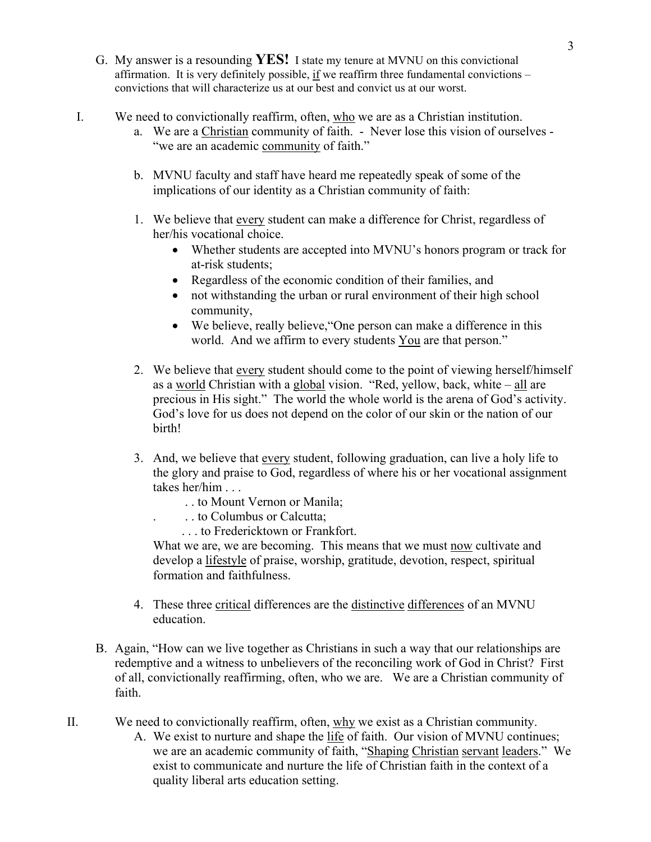- G. My answer is a resounding **YES!** I state my tenure at MVNU on this convictional affirmation. It is very definitely possible, if we reaffirm three fundamental convictions – convictions that will characterize us at our best and convict us at our worst.
- I. We need to convictionally reaffirm, often, who we are as a Christian institution.
	- a. We are a Christian community of faith. Never lose this vision of ourselves "we are an academic community of faith."
	- b. MVNU faculty and staff have heard me repeatedly speak of some of the implications of our identity as a Christian community of faith:
	- 1. We believe that every student can make a difference for Christ, regardless of her/his vocational choice.
		- Whether students are accepted into MVNU's honors program or track for at-risk students;
		- Regardless of the economic condition of their families, and
		- not withstanding the urban or rural environment of their high school community,
		- We believe, really believe, "One person can make a difference in this world. And we affirm to every students You are that person."
	- 2. We believe that every student should come to the point of viewing herself/himself as a world Christian with a global vision. "Red, yellow, back, white – all are precious in His sight." The world the whole world is the arena of God's activity. God's love for us does not depend on the color of our skin or the nation of our birth!
	- 3. And, we believe that every student, following graduation, can live a holy life to the glory and praise to God, regardless of where his or her vocational assignment takes her/him . . .
		- . . to Mount Vernon or Manila;
		- . . . to Columbus or Calcutta;
			- . . . to Fredericktown or Frankfort.

What we are, we are becoming. This means that we must now cultivate and develop a lifestyle of praise, worship, gratitude, devotion, respect, spiritual formation and faithfulness.

- 4. These three critical differences are the distinctive differences of an MVNU education.
- B. Again, "How can we live together as Christians in such a way that our relationships are redemptive and a witness to unbelievers of the reconciling work of God in Christ? First of all, convictionally reaffirming, often, who we are. We are a Christian community of faith.
- II. We need to convictionally reaffirm, often, why we exist as a Christian community.
	- A. We exist to nurture and shape the life of faith. Our vision of MVNU continues; we are an academic community of faith, "Shaping Christian servant leaders." We exist to communicate and nurture the life of Christian faith in the context of a quality liberal arts education setting.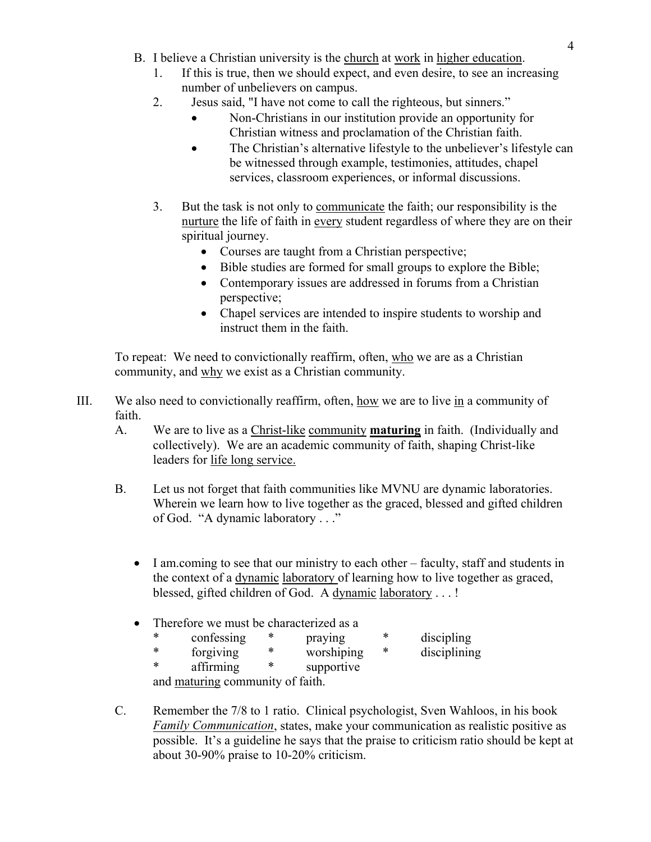- 4 B. I believe a Christian university is the church at work in higher education.
	- 1. If this is true, then we should expect, and even desire, to see an increasing number of unbelievers on campus.
	- 2. Jesus said, "I have not come to call the righteous, but sinners."
		- Non-Christians in our institution provide an opportunity for Christian witness and proclamation of the Christian faith.
		- The Christian's alternative lifestyle to the unbeliever's lifestyle can be witnessed through example, testimonies, attitudes, chapel services, classroom experiences, or informal discussions.
	- 3. But the task is not only to communicate the faith; our responsibility is the nurture the life of faith in every student regardless of where they are on their spiritual journey.
		- Courses are taught from a Christian perspective;
		- Bible studies are formed for small groups to explore the Bible;
		- Contemporary issues are addressed in forums from a Christian perspective;
		- Chapel services are intended to inspire students to worship and instruct them in the faith.

To repeat: We need to convictionally reaffirm, often, who we are as a Christian community, and why we exist as a Christian community.

- III. We also need to convictionally reaffirm, often, how we are to live in a community of faith.
	- A. We are to live as a Christ-like community **maturing** in faith. (Individually and collectively). We are an academic community of faith, shaping Christ-like leaders for life long service.
	- B. Let us not forget that faith communities like MVNU are dynamic laboratories. Wherein we learn how to live together as the graced, blessed and gifted children of God. "A dynamic laboratory . . ."
		- I am.coming to see that our ministry to each other faculty, staff and students in the context of a dynamic laboratory of learning how to live together as graced, blessed, gifted children of God. A dynamic laboratory . . . !
		- Therefore we must be characterized as a
			- \* confessing \* praying \* discipling<br>\* forgiving \* worshining \* disciplinin \* forgiving \* worshiping \* disciplining \* affirming \* supportive
			- and maturing community of faith.
	- C. Remember the 7/8 to 1 ratio. Clinical psychologist, Sven Wahloos, in his book *Family Communication*, states, make your communication as realistic positive as possible. It's a guideline he says that the praise to criticism ratio should be kept at about 30-90% praise to 10-20% criticism.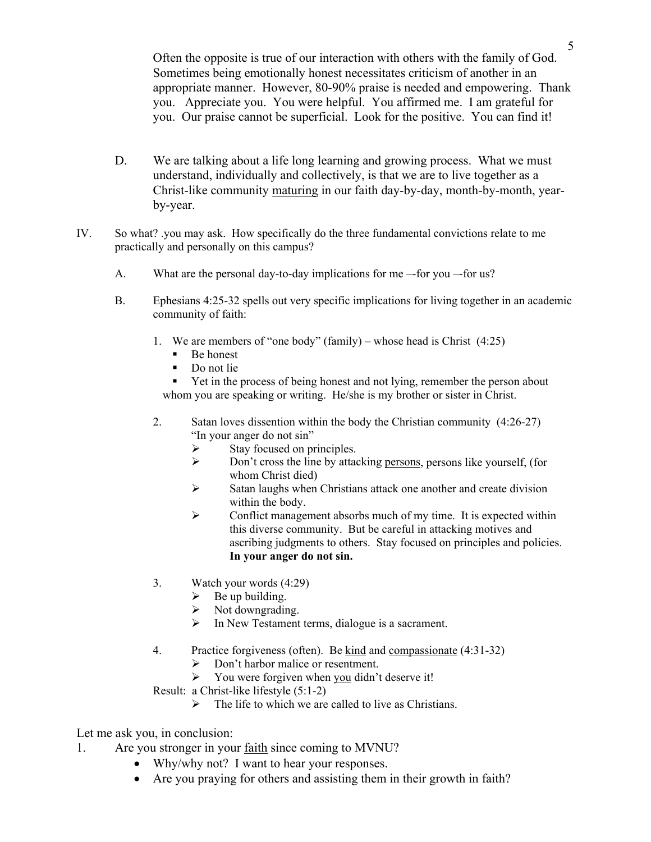5 Often the opposite is true of our interaction with others with the family of God. Sometimes being emotionally honest necessitates criticism of another in an appropriate manner. However, 80-90% praise is needed and empowering. Thank you. Appreciate you. You were helpful. You affirmed me. I am grateful for you. Our praise cannot be superficial. Look for the positive. You can find it!

- D. We are talking about a life long learning and growing process. What we must understand, individually and collectively, is that we are to live together as a Christ-like community maturing in our faith day-by-day, month-by-month, yearby-year.
- IV. So what? .you may ask. How specifically do the three fundamental convictions relate to me practically and personally on this campus?
	- A. What are the personal day-to-day implications for me –-for you –-for us?
	- B. Ephesians 4:25-32 spells out very specific implications for living together in an academic community of faith:
		- 1. We are members of "one body" (family) whose head is Christ (4:25)
			- Be honest
			- Do not lie

• Yet in the process of being honest and not lying, remember the person about whom you are speaking or writing. He/she is my brother or sister in Christ.

- 2. Satan loves dissention within the body the Christian community (4:26-27) "In your anger do not sin"
	- $\triangleright$  Stay focused on principles.
	- ¾ Don't cross the line by attacking persons, persons like yourself, (for whom Christ died)
	- $\triangleright$  Satan laughs when Christians attack one another and create division within the body.
	- $\triangleright$  Conflict management absorbs much of my time. It is expected within this diverse community. But be careful in attacking motives and ascribing judgments to others. Stay focused on principles and policies. **In your anger do not sin.**
- 3. Watch your words (4:29)
	- $\triangleright$  Be up building.
	- $\triangleright$  Not downgrading.
	- $\triangleright$  In New Testament terms, dialogue is a sacrament.
- 4. Practice forgiveness (often). Be kind and compassionate (4:31-32)
	- $\triangleright$  Don't harbor malice or resentment.
	- $\triangleright$  You were forgiven when you didn't deserve it!
- Result: a Christ-like lifestyle (5:1-2)
	- $\triangleright$  The life to which we are called to live as Christians.

Let me ask you, in conclusion:

- 1. Are you stronger in your faith since coming to MVNU?
	- Why/why not? I want to hear your responses.
	- Are you praying for others and assisting them in their growth in faith?